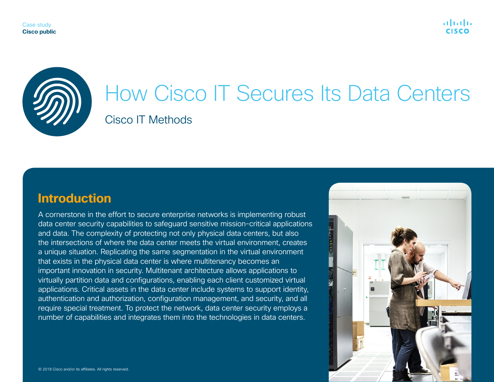

# How Cisco IT Secures Its Data Centers Cisco IT Methods

# **Introduction**

A cornerstone in the effort to secure enterprise networks is implementing robust data center security capabilities to safeguard sensitive mission-critical applications and data. The complexity of protecting not only physical data centers, but also the intersections of where the data center meets the virtual environment, creates a unique situation. Replicating the same segmentation in the virtual environment that exists in the physical data center is where multitenancy becomes an important innovation in security. Multitenant architecture allows applications to virtually partition data and configurations, enabling each client customized virtual applications. Critical assets in the data center include systems to support identity, authentication and authorization, configuration management, and security, and all require special treatment. To protect the network, data center security employs a number of capabilities and integrates them into the technologies in data centers.

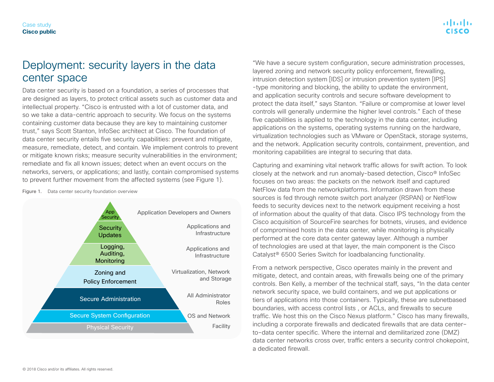#### Case study **Cisco public**

## Deployment: security layers in the data center space

Data center security is based on a foundation, a series of processes that are designed as layers, to protect critical assets such as customer data and intellectual property. "Cisco is entrusted with a lot of customer data, and so we take a data-centric approach to security. We focus on the systems containing customer data because they are key to maintaining customer trust," says Scott Stanton, InfoSec architect at Cisco. The foundation of data center security entails five security capabilities: prevent and mitigate, measure, remediate, detect, and contain. We implement controls to prevent or mitigate known risks; measure security vulnerabilities in the environment; remediate and fix all known issues; detect when an event occurs on the networks, servers, or applications; and lastly, contain compromised systems to prevent further movement from the affected systems (see Figure 1).

Figure 1. Data center security foundation overview



"We have a secure system configuration, secure administration processes, layered zoning and network security policy enforcement, firewalling, intrusion detection system [IDS] or intrusion prevention system [IPS] -type monitoring and blocking, the ability to update the environment, and application security controls and secure software development to protect the data itself," says Stanton. "Failure or compromise at lower level controls will generally undermine the higher level controls." Each of these five capabilities is applied to the technology in the data center, including applications on the systems, operating systems running on the hardware, virtualization technologies such as VMware or OpenStack, storage systems, and the network. Application security controls, containment, prevention, and monitoring capabilities are integral to securing that data.

Capturing and examining vital network traffic allows for swift action. To look closely at the network and run anomaly-based detection, Cisco® InfoSec focuses on two areas: the packets on the network itself and captured NetFlow data from the networkplatforms. Information drawn from these sources is fed through remote switch port analyzer (RSPAN) or NetFlow feeds to security devices next to the network equipment receiving a host of information about the quality of that data. Cisco IPS technology from the Cisco acquisition of SourceFire searches for botnets, viruses, and evidence of compromised hosts in the data center, while monitoring is physically performed at the core data center gateway layer. Although a number of technologies are used at that layer, the main component is the Cisco Catalyst® 6500 Series Switch for loadbalancing functionality.

From a network perspective, Cisco operates mainly in the prevent and mitigate, detect, and contain areas, with firewalls being one of the primary controls. Ben Kelly, a member of the technical staff, says, "In the data center network security space, we build containers, and we put applications or tiers of applications into those containers. Typically, these are subnetbased boundaries, with access control lists , or ACLs, and firewalls to secure traffic. We host this on the Cisco Nexus platform." Cisco has many firewalls, including a corporate firewalls and dedicated firewalls that are data center– to–data center specific. Where the internal and demilitarized zone (DMZ) data center networks cross over, traffic enters a security control chokepoint, a dedicated firewall.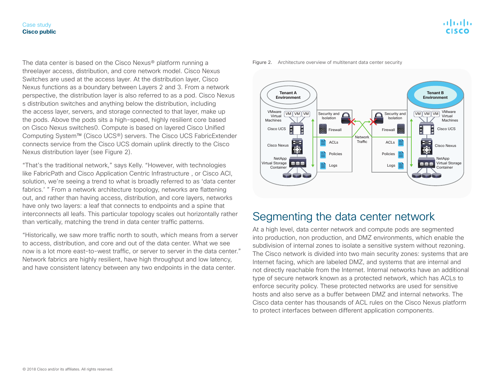The data center is based on the Cisco Nexus® platform running a threelayer access, distribution, and core network model. Cisco Nexus Switches are used at the access layer. At the distribution layer, Cisco Nexus functions as a boundary between Layers 2 and 3. From a network perspective, the distribution layer is also referred to as a pod. Cisco Nexus s distribution switches and anything below the distribution, including the access layer, servers, and storage connected to that layer, make up the pods. Above the pods sits a high-speed, highly resilient core based on Cisco Nexus switches0. Compute is based on layered Cisco Unified Computing System™ (Cisco UCS®) servers. The Cisco UCS FabricExtender connects service from the Cisco UCS domain uplink directly to the Cisco Nexus distribution layer (see Figure 2).

"That's the traditional network," says Kelly. "However, with technologies like FabricPath and Cisco Application Centric Infrastructure , or Cisco ACI, solution, we're seeing a trend to what is broadly referred to as 'data center fabrics.' " From a network architecture topology, networks are flattening out, and rather than having access, distribution, and core layers, networks have only two layers: a leaf that connects to endpoints and a spine that interconnects all leafs. This particular topology scales out horizontally rather than vertically, matching the trend in data center traffic patterns.

"Historically, we saw more traffic north to south, which means from a server to access, distribution, and core and out of the data center. What we see now is a lot more east-to-west traffic, or server to server in the data center." Network fabrics are highly resilient, have high throughput and low latency, and have consistent latency between any two endpoints in the data center.





### Segmenting the data center network

At a high level, data center network and compute pods are segmented into production, non production, and DMZ environments, which enable the subdivision of internal zones to isolate a sensitive system without rezoning. The Cisco network is divided into two main security zones: systems that are Internet facing, which are labeled DMZ, and systems that are internal and not directly reachable from the Internet. Internal networks have an additional type of secure network known as a protected network, which has ACLs to enforce security policy. These protected networks are used for sensitive hosts and also serve as a buffer between DMZ and internal networks. The Cisco data center has thousands of ACL rules on the Cisco Nexus platform to protect interfaces between different application components.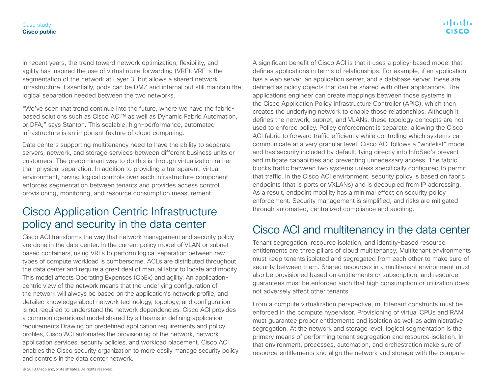In recent years, the trend toward network optimization, flexibility, and agility has inspired the use of virtual route forwarding (VRF). VRF is the segmentation of the network at Layer 3, but allows a shared network infrastructure. Essentially, pods can be DMZ and internal but still maintain the logical separation needed between the two networks.

"We've seen that trend continue into the future, where we have the fabricbased solutions such as Cisco ACI™ as well as Dynamic Fabric Automation, or DFA," says Stanton. This scalable, high-performance, automated infrastructure is an important feature of cloud computing.

Data centers supporting multitenancy need to have the ability to separate servers, network, and storage services between different business units or customers. The predominant way to do this is through virtualization rather than physical separation. In addition to providing a transparent, virtual environment, having logical controls over each infrastructure component enforces segmentation between tenants and provides access control, provisioning, monitoring, and resource consumption measurement.

# Cisco Application Centric Infrastructure policy and security in the data center

Cisco ACI transforms the way that network management and security policy are done in the data center. In the current policy model of VLAN or subnetbased containers, using VRFs to perform logical separation between raw types of compute workload is cumbersome. ACLs are distributed throughout the data center and require a great deal of manual labor to locate and modify. This model affects Operating Expenses (OpEx) and agility. An applicationcentric view of the network means that the underlying configuration of the network will always be based on the application's network profile, and detailed knowledge about network technology, topology, and configuration is not required to understand the network dependencies. Cisco ACI provides a common operational model shared by all teams in defining application requirements.Drawing on predefined application requirements and policy profiles, Cisco ACI automates the provisioning of the network, network application services, security policies, and workload placement. Cisco ACI enables the Cisco security organization to more easily manage security policy and controls in the data center network.

A significant benefit of Cisco ACI is that it uses a policy-based model that defines applications in terms of relationships. For example, if an application has a web server, an application server, and a database server, these are defined as policy objects that can be shared with other applications. The applications engineer can create mappings between those systems in the Cisco Application Policy Infrastructure Controller (APIC), which then creates the underlying network to enable those relationships. Although it defines the network, subnet, and VLANs, these topology concepts are not used to enforce policy. Policy enforcement is separate, allowing the Cisco ACI fabric to forward traffic efficiently while controlling which systems can communicate at a very granular level. Cisco ACI follows a "whitelist" model and has security included by default, tying directly into InfoSec's prevent and mitigate capabilities and preventing unnecessary access. The fabric blocks traffic between two systems unless specifically configured to permit that traffic. In the Cisco ACI environment, security policy is based on fabric endpoints (that is ports or VXLANs) and is decoupled from IP addressing. As a result, endpoint mobility has a minimal effect on security policy enforcement. Security management is simplified, and risks are mitigated through automated, centralized compliance and auditing.

# Cisco ACI and multitenancy in the data center

Tenant segregation, resource isolation, and identity-based resource entitlements are three pillars of cloud multitenancy. Multitenant environments must keep tenants isolated and segregated from each other to make sure of security between them. Shared resources in a multitenant environment must also be provisioned based on entitlements or subscription, and resource guarantees must be enforced such that high consumption or utilization does not adversely affect other tenants.

From a compute virtualization perspective, multitenant constructs must be enforced in the compute hypervisor. Provisioning of virtual CPUs and RAM must guarantee proper entitlements and isolation as well as administrative segregation. At the network and storage level, logical segmentation is the primary means of performing tenant segregation and resource isolation. In that environment, processes, automation, and orchestration make sure of resource entitlements and align the network and storage with the compute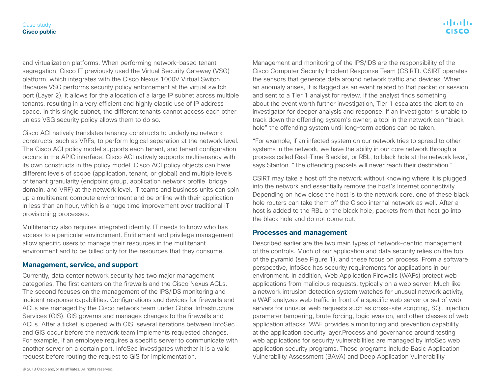and virtualization platforms. When performing network-based tenant segregation, Cisco IT previously used the Virtual Security Gateway (VSG) platform, which integrates with the Cisco Nexus 1000V Virtual Switch. Because VSG performs security policy enforcement at the virtual switch port (Layer 2), it allows for the allocation of a large IP subnet across multiple tenants, resulting in a very efficient and highly elastic use of IP address space. In this single subnet, the different tenants cannot access each other unless VSG security policy allows them to do so.

Cisco ACI natively translates tenancy constructs to underlying network constructs, such as VRFs, to perform logical separation at the network level. The Cisco ACI policy model supports each tenant, and tenant configuration occurs in the APIC interface. Cisco ACI natively supports multitenancy with its own constructs in the policy model. Cisco ACI policy objects can have different levels of scope (application, tenant, or global) and multiple levels of tenant granularity (endpoint group, application network profile, bridge domain, and VRF) at the network level. IT teams and business units can spin up a multitenant compute environment and be online with their application in less than an hour, which is a huge time improvement over traditional IT provisioning processes.

Multitenancy also requires integrated identity. IT needs to know who has access to a particular environment. Entitlement and privilege management allow specific users to manage their resources in the multitenant environment and to be billed only for the resources that they consume.

### **Management, service, and support**

Currently, data center network security has two major management categories. The first centers on the firewalls and the Cisco Nexus ACLs. The second focuses on the management of the IPS/IDS monitoring and incident response capabilities. Configurations and devices for firewalls and ACLs are managed by the Cisco network team under Global Infrastructure Services (GIS). GIS governs and manages changes to the firewalls and ACLs. After a ticket is opened with GIS, several iterations between InfoSec and GIS occur before the network team implements requested changes. For example, if an employee requires a specific server to communicate with another server on a certain port, InfoSec investigates whether it is a valid request before routing the request to GIS for implementation.

Management and monitoring of the IPS/IDS are the responsibility of the Cisco Computer Security Incident Response Team (CSIRT). CSIRT operates the sensors that generate data around network traffic and devices. When an anomaly arises, it is flagged as an event related to that packet or session and sent to a Tier 1 analyst for review. If the analyst finds something about the event worth further investigation, Tier 1 escalates the alert to an investigator for deeper analysis and response. If an investigator is unable to track down the offending system's owner, a tool in the network can "black hole" the offending system until long-term actions can be taken.

"For example, if an infected system on our network tries to spread to other systems in the network, we have the ability in our core network through a process called Real-Time Blacklist, or RBL, to black hole at the network level," says Stanton. "The offending packets will never reach their destination."

CSIRT may take a host off the network without knowing where it is plugged into the network and essentially remove the host's Internet connectivity. Depending on how close the host is to the network core, one of these black hole routers can take them off the Cisco internal network as well. After a host is added to the RBL or the black hole, packets from that host go into the black hole and do not come out.

### **Processes and management**

Described earlier are the two main types of network-centric management of the controls. Much of our application and data security relies on the top of the pyramid (see Figure 1), and these focus on process. From a software perspective, InfoSec has security requirements for applications in our environment. In addition, Web Application Firewalls (WAFs) protect web applications from malicious requests, typically on a web server. Much like a network intrusion detection system watches for unusual network activity, a WAF analyzes web traffic in front of a specific web server or set of web servers for unusual web requests such as cross-site scripting, SQL injection, parameter tampering, brute forcing, logic evasion, and other classes of web application attacks. WAF provides a monitoring and prevention capability at the application security layer.Process and governance around testing web applications for security vulnerabilities are managed by InfoSec web application security programs. These programs include Basic Application Vulnerability Assessment (BAVA) and Deep Application Vulnerability